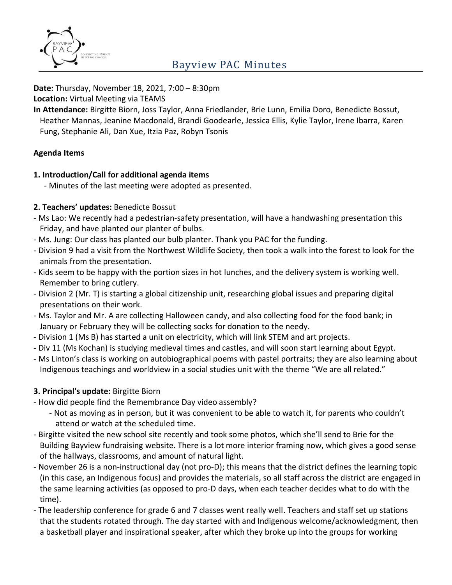

# Bayview PAC Minutes

**Date:** Thursday, November 18, 2021, 7:00 – 8:30pm

**Location:** Virtual Meeting via TEAMS

**In Attendance:** Birgitte Biorn, Joss Taylor, Anna Friedlander, Brie Lunn, Emilia Doro, Benedicte Bossut, Heather Mannas, Jeanine Macdonald, Brandi Goodearle, Jessica Ellis, Kylie Taylor, Irene Ibarra, Karen Fung, Stephanie Ali, Dan Xue, Itzia Paz, Robyn Tsonis

### **Agenda Items**

#### **1. Introduction/Call for additional agenda items**

- Minutes of the last meeting were adopted as presented.

### **2. Teachers' updates:** Benedicte Bossut

- Ms Lao: We recently had a pedestrian-safety presentation, will have a handwashing presentation this Friday, and have planted our planter of bulbs.
- Ms. Jung: Our class has planted our bulb planter. Thank you PAC for the funding.
- Division 9 had a visit from the Northwest Wildlife Society, then took a walk into the forest to look for the animals from the presentation.
- Kids seem to be happy with the portion sizes in hot lunches, and the delivery system is working well. Remember to bring cutlery.
- Division 2 (Mr. T) is starting a global citizenship unit, researching global issues and preparing digital presentations on their work.
- Ms. Taylor and Mr. A are collecting Halloween candy, and also collecting food for the food bank; in January or February they will be collecting socks for donation to the needy.
- Division 1 (Ms B) has started a unit on electricity, which will link STEM and art projects.
- Div 11 (Ms Kochan) is studying medieval times and castles, and will soon start learning about Egypt.
- Ms Linton's class is working on autobiographical poems with pastel portraits; they are also learning about Indigenous teachings and worldview in a social studies unit with the theme "We are all related."

## **3. Principal's update:** Birgitte Biorn

- How did people find the Remembrance Day video assembly?
	- Not as moving as in person, but it was convenient to be able to watch it, for parents who couldn't attend or watch at the scheduled time.
- Birgitte visited the new school site recently and took some photos, which she'll send to Brie for the Building Bayview fundraising website. There is a lot more interior framing now, which gives a good sense of the hallways, classrooms, and amount of natural light.
- November 26 is a non-instructional day (not pro-D); this means that the district defines the learning topic (in this case, an Indigenous focus) and provides the materials, so all staff across the district are engaged in the same learning activities (as opposed to pro-D days, when each teacher decides what to do with the time).
- The leadership conference for grade 6 and 7 classes went really well. Teachers and staff set up stations that the students rotated through. The day started with and Indigenous welcome/acknowledgment, then a basketball player and inspirational speaker, after which they broke up into the groups for working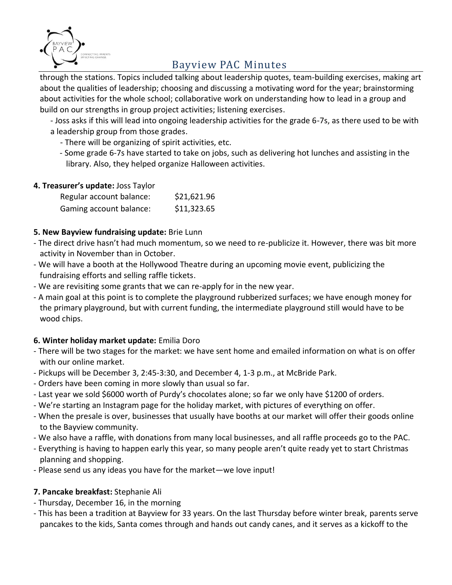

# Bayview PAC Minutes

through the stations. Topics included talking about leadership quotes, team-building exercises, making art about the qualities of leadership; choosing and discussing a motivating word for the year; brainstorming about activities for the whole school; collaborative work on understanding how to lead in a group and build on our strengths in group project activities; listening exercises.

- Joss asks if this will lead into ongoing leadership activities for the grade 6-7s, as there used to be with a leadership group from those grades.

- There will be organizing of spirit activities, etc.
- Some grade 6-7s have started to take on jobs, such as delivering hot lunches and assisting in the library. Also, they helped organize Halloween activities.

### **4. Treasurer's update:** Joss Taylor

| Regular account balance: | \$21,621.96 |
|--------------------------|-------------|
| Gaming account balance:  | \$11,323.65 |

### **5. New Bayview fundraising update:** Brie Lunn

- The direct drive hasn't had much momentum, so we need to re-publicize it. However, there was bit more activity in November than in October.
- We will have a booth at the Hollywood Theatre during an upcoming movie event, publicizing the fundraising efforts and selling raffle tickets.
- We are revisiting some grants that we can re-apply for in the new year.
- A main goal at this point is to complete the playground rubberized surfaces; we have enough money for the primary playground, but with current funding, the intermediate playground still would have to be wood chips.

## **6. Winter holiday market update:** Emilia Doro

- There will be two stages for the market: we have sent home and emailed information on what is on offer with our online market.
- Pickups will be December 3, 2:45-3:30, and December 4, 1-3 p.m., at McBride Park.
- Orders have been coming in more slowly than usual so far.
- Last year we sold \$6000 worth of Purdy's chocolates alone; so far we only have \$1200 of orders.
- We're starting an Instagram page for the holiday market, with pictures of everything on offer.
- When the presale is over, businesses that usually have booths at our market will offer their goods online to the Bayview community.
- We also have a raffle, with donations from many local businesses, and all raffle proceeds go to the PAC.
- Everything is having to happen early this year, so many people aren't quite ready yet to start Christmas planning and shopping.
- Please send us any ideas you have for the market—we love input!

## **7. Pancake breakfast:** Stephanie Ali

- Thursday, December 16, in the morning
- This has been a tradition at Bayview for 33 years. On the last Thursday before winter break, parents serve pancakes to the kids, Santa comes through and hands out candy canes, and it serves as a kickoff to the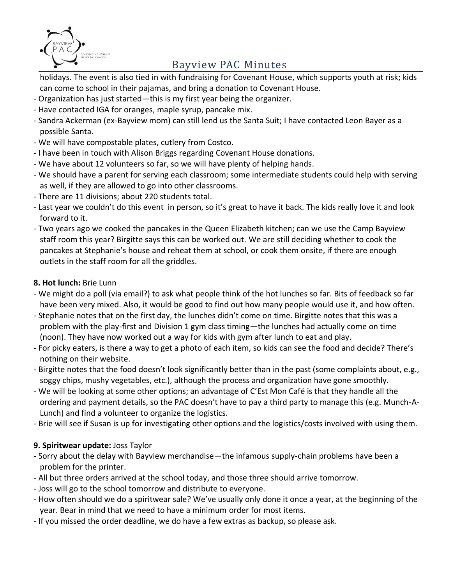

# Bayview PAC Minutes

holidays. The event is also tied in with fundraising for Covenant House, which supports youth at risk; kids can come to school in their pajamas, and bring a donation to Covenant House.

- Organization has just started—this is my first year being the organizer.
- Have contacted IGA for oranges, maple syrup, pancake mix.
- Sandra Ackerman (ex-Bayview mom) can still lend us the Santa Suit; I have contacted Leon Bayer as a possible Santa.
- We will have compostable plates, cutlery from Costco.
- I have been in touch with Alison Briggs regarding Covenant House donations.
- We have about 12 volunteers so far, so we will have plenty of helping hands.
- We should have a parent for serving each classroom; some intermediate students could help with serving as well, if they are allowed to go into other classrooms.
- There are 11 divisions; about 220 students total.
- Last year we couldn't do this event in person, so it's great to have it back. The kids really love it and look forward to it.
- Two years ago we cooked the pancakes in the Queen Elizabeth kitchen; can we use the Camp Bayview staff room this year? Birgitte says this can be worked out. We are still deciding whether to cook the pancakes at Stephanie's house and reheat them at school, or cook them onsite, if there are enough outlets in the staff room for all the griddles.

## **8. Hot lunch:** Brie Lunn

- We might do a poll (via email?) to ask what people think of the hot lunches so far. Bits of feedback so far have been very mixed. Also, it would be good to find out how many people would use it, and how often.
- Stephanie notes that on the first day, the lunches didn't come on time. Birgitte notes that this was a problem with the play-first and Division 1 gym class timing—the lunches had actually come on time (noon). They have now worked out a way for kids with gym after lunch to eat and play.
- For picky eaters, is there a way to get a photo of each item, so kids can see the food and decide? There's nothing on their website.
- Birgitte notes that the food doesn't look significantly better than in the past (some complaints about, e.g., soggy chips, mushy vegetables, etc.), although the process and organization have gone smoothly.
- We will be looking at some other options; an advantage of C'Est Mon Café is that they handle all the ordering and payment details, so the PAC doesn't have to pay a third party to manage this (e.g. Munch-A-Lunch) and find a volunteer to organize the logistics.
- Brie will see if Susan is up for investigating other options and the logistics/costs involved with using them.

## **9. Spiritwear update:** Joss Taylor

- Sorry about the delay with Bayview merchandise—the infamous supply-chain problems have been a problem for the printer.
- All but three orders arrived at the school today, and those three should arrive tomorrow.
- Joss will go to the school tomorrow and distribute to everyone.
- How often should we do a spiritwear sale? We've usually only done it once a year, at the beginning of the year. Bear in mind that we need to have a minimum order for most items.
- If you missed the order deadline, we do have a few extras as backup, so please ask.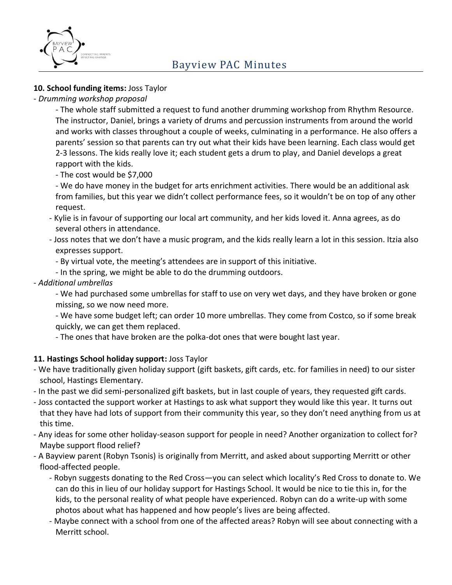

### **10. School funding items:** Joss Taylor

*- Drumming workshop proposal*

- The whole staff submitted a request to fund another drumming workshop from Rhythm Resource. The instructor, Daniel, brings a variety of drums and percussion instruments from around the world and works with classes throughout a couple of weeks, culminating in a performance. He also offers a parents' session so that parents can try out what their kids have been learning. Each class would get 2-3 lessons. The kids really love it; each student gets a drum to play, and Daniel develops a great rapport with the kids.

- The cost would be \$7,000

- We do have money in the budget for arts enrichment activities. There would be an additional ask from families, but this year we didn't collect performance fees, so it wouldn't be on top of any other request.

- Kylie is in favour of supporting our local art community, and her kids loved it. Anna agrees, as do several others in attendance.
- Joss notes that we don't have a music program, and the kids really learn a lot in this session. Itzia also expresses support.
	- By virtual vote, the meeting's attendees are in support of this initiative.
	- In the spring, we might be able to do the drumming outdoors.

#### *- Additional umbrellas*

- We had purchased some umbrellas for staff to use on very wet days, and they have broken or gone missing, so we now need more.

- We have some budget left; can order 10 more umbrellas. They come from Costco, so if some break quickly, we can get them replaced.

- The ones that have broken are the polka-dot ones that were bought last year.

## **11. Hastings School holiday support:** Joss Taylor

- We have traditionally given holiday support (gift baskets, gift cards, etc. for families in need) to our sister school, Hastings Elementary.
- In the past we did semi-personalized gift baskets, but in last couple of years, they requested gift cards.
- Joss contacted the support worker at Hastings to ask what support they would like this year. It turns out that they have had lots of support from their community this year, so they don't need anything from us at this time.
- Any ideas for some other holiday-season support for people in need? Another organization to collect for? Maybe support flood relief?
- A Bayview parent (Robyn Tsonis) is originally from Merritt, and asked about supporting Merritt or other flood-affected people.
	- Robyn suggests donating to the Red Cross—you can select which locality's Red Cross to donate to. We can do this in lieu of our holiday support for Hastings School. It would be nice to tie this in, for the kids, to the personal reality of what people have experienced. Robyn can do a write-up with some photos about what has happened and how people's lives are being affected.
	- Maybe connect with a school from one of the affected areas? Robyn will see about connecting with a Merritt school.